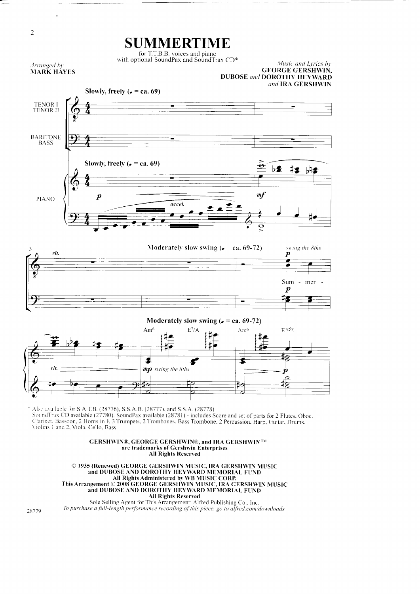

 $\sqrt{2}$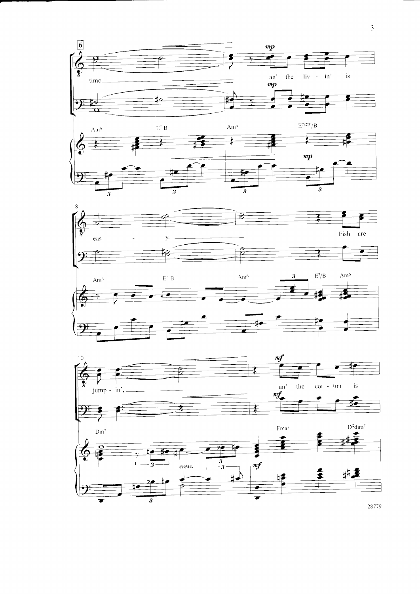









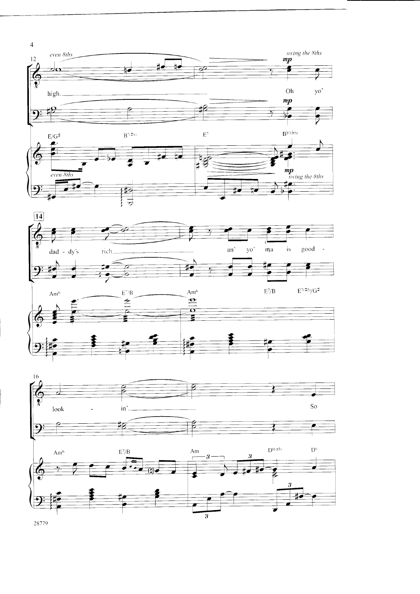



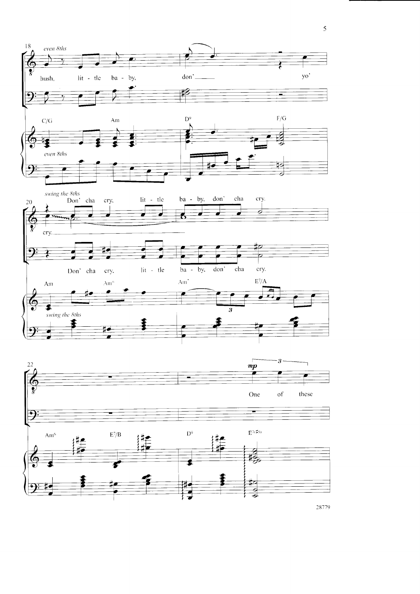

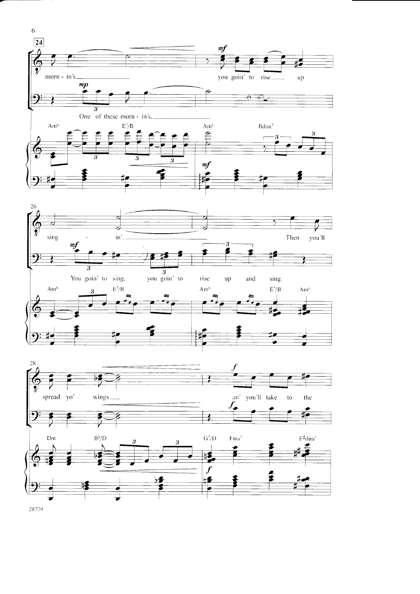





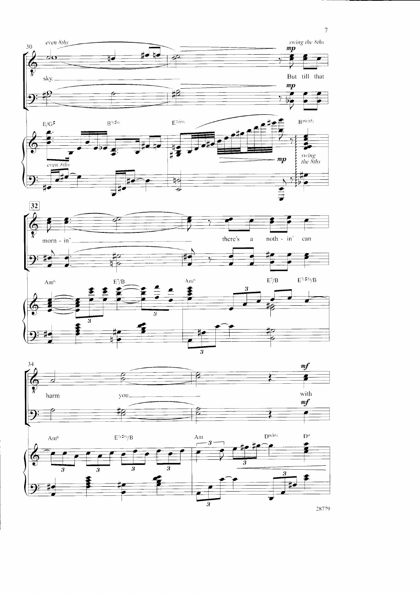









 $\overline{7}$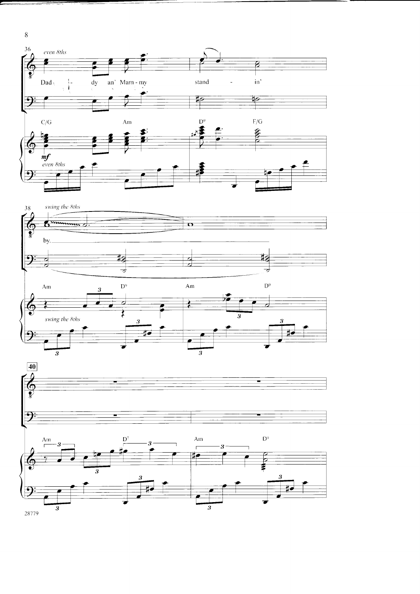

 $\overline{s}$ 

28779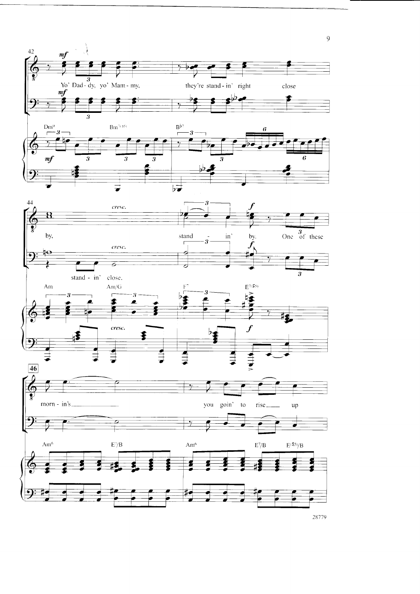

 $\overline{9}$ 

28779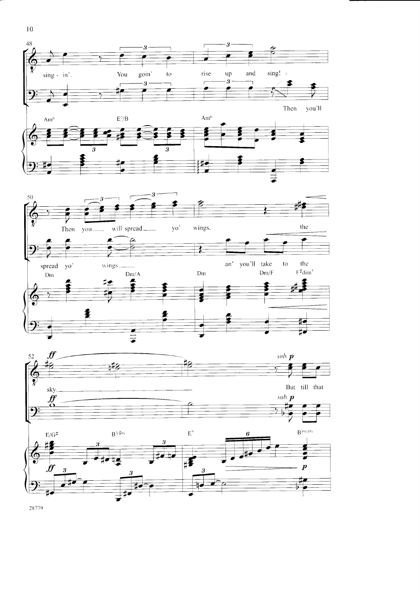





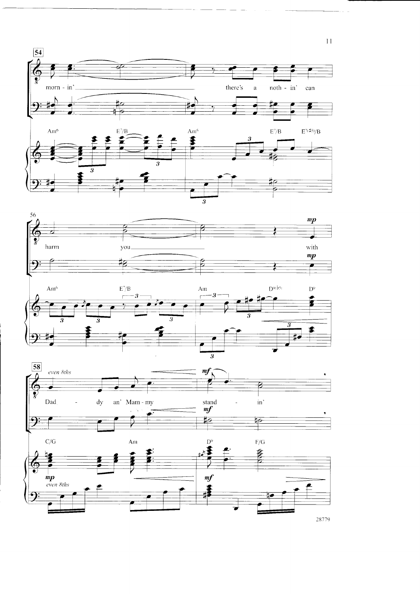